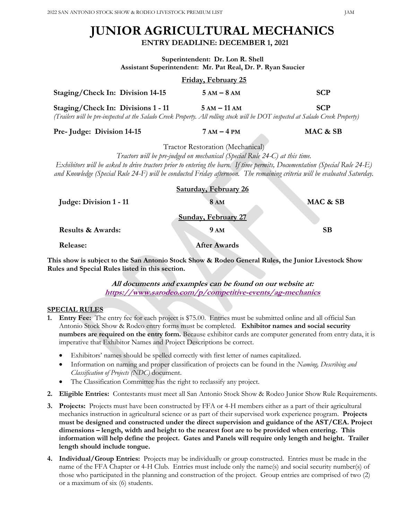# JUNIOR AGRICULTURAL MECHANICS ENTRY DEADLINE: DECEMBER 1, 2021

Superintendent: Dr. Lon R. Shell Assistant Superintendent: Mr. Pat Real, Dr. P. Ryan Saucier

|                                                                                                                                                                       | Friday, February 25 |            |
|-----------------------------------------------------------------------------------------------------------------------------------------------------------------------|---------------------|------------|
| Staging/Check In: Division 14-15                                                                                                                                      | $5 AM - 8 AM$       | <b>SCP</b> |
| Staging/Check In: Divisions 1 - 11<br>(Trailers will be pre-inspected at the Salado Creek Property. All rolling stock will be DOT inspected at Salado Creek Property) | $5 AM - 11 AM$      | <b>SCP</b> |
| Pre- Judge: Division 14-15                                                                                                                                            | $7 AM - 4 PM$       | MAC & SB   |

Tractor Restoration (Mechanical)

Tractors will be pre-judged on mechanical (Special Rule 24-C) at this time. Exhibitors will be asked to drive tractors prior to entering the barn. If time permits, Documentation (Special Rule 24-E) and Knowledge (Special Rule 24-F) will be conducted Friday afternoon. The remaining criteria will be evaluated Saturday.

|                              | <b>Saturday, February 26</b> |          |
|------------------------------|------------------------------|----------|
| Judge: Division 1 - 11       | 8AM                          | MAC & SB |
|                              | <b>Sunday, February 27</b>   |          |
| <b>Results &amp; Awards:</b> | <b>9 AM</b>                  | SВ       |

Release: After Awards

This show is subject to the San Antonio Stock Show & Rodeo General Rules, the Junior Livestock Show Rules and Special Rules listed in this section.

> All documents and examples can be found on our website at: https://www.sarodeo.com/p/competitive-events/ag-mechanics

## SPECIAL RULES

- 1. Entry Fee: The entry fee for each project is \$75.00. Entries must be submitted online and all official San Antonio Stock Show & Rodeo entry forms must be completed. Exhibitor names and social security numbers are required on the entry form. Because exhibitor cards are computer generated from entry data, it is imperative that Exhibitor Names and Project Descriptions be correct.
	- Exhibitors' names should be spelled correctly with first letter of names capitalized.
	- **•** Information on naming and proper classification of projects can be found in the Naming, Describing and Classification of Projects (NDC) document.
	- The Classification Committee has the right to reclassify any project.
- 2. Eligible Entries: Contestants must meet all San Antonio Stock Show & Rodeo Junior Show Rule Requirements.
- 3. Projects: Projects must have been constructed by FFA or 4-H members either as a part of their agricultural mechanics instruction in agricultural science or as part of their supervised work experience program. Projects must be designed and constructed under the direct supervision and guidance of the AST/CEA. Project dimensions – length, width and height to the nearest foot are to be provided when entering. This information will help define the project. Gates and Panels will require only length and height. Trailer length should include tongue.
- 4. Individual/Group Entries: Projects may be individually or group constructed. Entries must be made in the name of the FFA Chapter or 4-H Club. Entries must include only the name(s) and social security number(s) of those who participated in the planning and construction of the project. Group entries are comprised of two (2) or a maximum of six (6) students.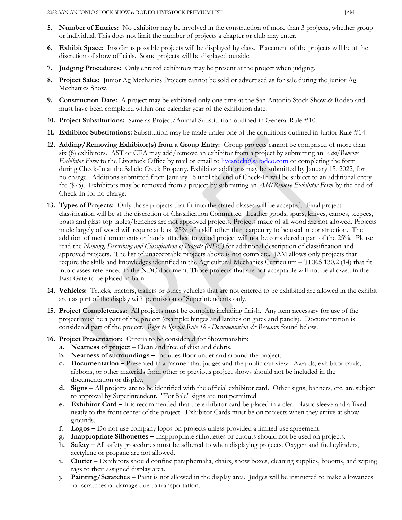- 5. Number of Entries: No exhibitor may be involved in the construction of more than 3 projects, whether group or individual. This does not limit the number of projects a chapter or club may enter.
- 6. Exhibit Space: Insofar as possible projects will be displayed by class. Placement of the projects will be at the discretion of show officials. Some projects will be displayed outside.
- 7. Judging Procedures: Only entered exhibitors may be present at the project when judging.
- 8. Project Sales: Junior Ag Mechanics Projects cannot be sold or advertised as for sale during the Junior Ag Mechanics Show.
- 9. Construction Date: A project may be exhibited only one time at the San Antonio Stock Show & Rodeo and must have been completed within one calendar year of the exhibition date.
- 10. Project Substitutions: Same as Project/Animal Substitution outlined in General Rule #10.
- 11. Exhibitor Substitutions: Substitution may be made under one of the conditions outlined in Junior Rule #14.
- 12. Adding/Removing Exhibitor(s) from a Group Entry: Group projects cannot be comprised of more than six (6) exhibitors. AST or CEA may add/remove an exhibitor from a project by submitting an *Add*/Remove *Exhibitor Form* to the Livestock Office by mail or email to  $\frac{livestock(0)$ sarodeo.com or completing the form during Check-In at the Salado Creek Property. Exhibitor additions may be submitted by January 15, 2022, for no charge. Additions submitted from January 16 until the end of Check-In will be subject to an additional entry fee (\$75). Exhibitors may be removed from a project by submitting an *Add*/Remove Exhibitor Form by the end of Check-In for no charge.
- 13. Types of Projects: Only those projects that fit into the stated classes will be accepted. Final project classification will be at the discretion of Classification Committee. Leather goods, spurs, knives, canoes, teepees, boats and glass top tables/benches are not approved projects. Projects made of all wood are not allowed. Projects made largely of wood will require at least 25% of a skill other than carpentry to be used in construction. The addition of metal ornaments or bands attached to wood project will not be considered a part of the 25%. Please read the Naming, Describing and Classification of Projects (NDC) for additional description of classification and approved projects. The list of unacceptable projects above is not complete. JAM allows only projects that require the skills and knowledges identified in the Agricultural Mechanics Curriculum – TEKS 130.2 (14) that fit into classes referenced in the NDC document. Those projects that are not acceptable will not be allowed in the East Gate to be placed in barn
- 14. Vehicles: Trucks, tractors, trailers or other vehicles that are not entered to be exhibited are allowed in the exhibit area as part of the display with permission of Superintendents only.
- 15. Project Completeness: All projects must be complete including finish. Any item necessary for use of the project must be a part of the project (example: hinges and latches on gates and panels). Documentation is considered part of the project. Refer to Special Rule 18 - Documentation  $\mathcal{C}^*$  Research found below.
- 16. Project Presentation: Criteria to be considered for Showmanship:
	- a. Neatness of project Clean and free of dust and debris.
	- b. Neatness of surroundings Includes floor under and around the project.
	- c. Documentation Presented in a manner that judges and the public can view. Awards, exhibitor cards, ribbons, or other materials from other or previous project shows should not be included in the documentation or display.
	- d. Signs All projects are to be identified with the official exhibitor card. Other signs, banners, etc. are subject to approval by Superintendent. "For Sale" signs are **not** permitted.
	- e. Exhibitor Card It is recommended that the exhibitor card be placed in a clear plastic sleeve and affixed neatly to the front center of the project. Exhibitor Cards must be on projects when they arrive at show grounds.
	- f. Logos Do not use company logos on projects unless provided a limited use agreement.
	- g. Inappropriate Silhouettes Inappropriate silhouettes or cutouts should not be used on projects.
	- h. Safety All safety procedures must be adhered to when displaying projects. Oxygen and fuel cylinders, acetylene or propane are not allowed.
	- i. Clutter Exhibitors should confine paraphernalia, chairs, show boxes, cleaning supplies, brooms, and wiping rags to their assigned display area.
	- j. Painting/Scratches Paint is not allowed in the display area. Judges will be instructed to make allowances for scratches or damage due to transportation.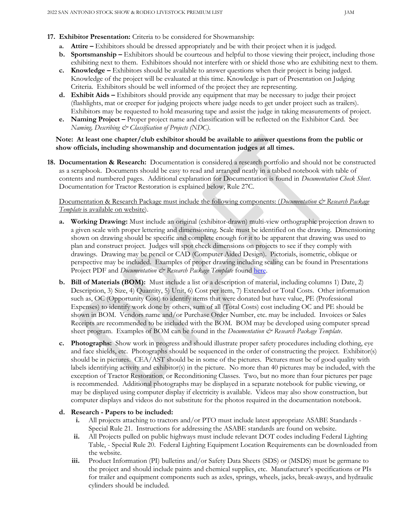- 17. Exhibitor Presentation: Criteria to be considered for Showmanship:
	- a. Attire Exhibitors should be dressed appropriately and be with their project when it is judged.
	- b. Sportsmanship Exhibitors should be courteous and helpful to those viewing their project, including those exhibiting next to them. Exhibitors should not interfere with or shield those who are exhibiting next to them.
	- c. Knowledge Exhibitors should be available to answer questions when their project is being judged. Knowledge of the project will be evaluated at this time. Knowledge is part of Presentation on Judging Criteria. Exhibitors should be well informed of the project they are representing.
	- d. Exhibit Aids Exhibitors should provide any equipment that may be necessary to judge their project (flashlights, mat or creeper for judging projects where judge needs to get under project such as trailers). Exhibitors may be requested to hold measuring tape and assist the judge in taking measurements of project.
	- e. Naming Project Proper project name and classification will be reflected on the Exhibitor Card. See Naming, Describing & Classification of Projects (NDC).

### Note: At least one chapter/club exhibitor should be available to answer questions from the public or show officials, including showmanship and documentation judges at all times.

18. Documentation & Research: Documentation is considered a research portfolio and should not be constructed as a scrapbook. Documents should be easy to read and arranged neatly in a tabbed notebook with table of contents and numbered pages. Additional explanation for Documentation is found in *Documentation Check Sheet*. Documentation for Tractor Restoration is explained below, Rule 27C.

## Documentation & Research Package must include the following components: (Documentation & Research Package Template is available on website).

- a. Working Drawing: Must include an original (exhibitor-drawn) multi-view orthographic projection drawn to a given scale with proper lettering and dimensioning. Scale must be identified on the drawing. Dimensioning shown on drawing should be specific and complete enough for it to be apparent that drawing was used to plan and construct project. Judges will spot check dimensions on projects to see if they comply with drawings. Drawing may be pencil or CAD (Computer Aided Design). Pictorials, isometric, oblique or perspective may be included. Examples of proper drawing including scaling can be found in Presentations Project PDF and Documentation & Research Package Template found here.
- b. Bill of Materials (BOM): Must include a list or a description of material, including columns 1) Date, 2) Description, 3) Size, 4) Quantity, 5) Unit, 6) Cost per item, 7) Extended or Total Costs. Other information such as, OC (Opportunity Cost) to identify items that were donated but have value, PE (Professional Expenses) to identify work done by others, sum of all (Total Costs) cost including OC and PE should be shown in BOM. Vendors name and/or Purchase Order Number, etc. may be included. Invoices or Sales Receipts are recommended to be included with the BOM. BOM may be developed using computer spread sheet program. Examples of BOM can be found in the *Documentation*  $\mathcal{O}$  Research Package Template.
- c. Photographs: Show work in progress and should illustrate proper safety procedures including clothing, eye and face shields, etc. Photographs should be sequenced in the order of constructing the project. Exhibitor(s) should be in pictures. CEA/AST should be in some of the pictures. Pictures must be of good quality with labels identifying activity and exhibitor(s) in the picture. No more than 40 pictures may be included, with the exception of Tractor Restoration, or Reconditioning Classes. Two, but no more than four pictures per page is recommended. Additional photographs may be displayed in a separate notebook for public viewing, or may be displayed using computer display if electricity is available. Videos may also show construction, but computer displays and videos do not substitute for the photos required in the documentation notebook.

## d. Research - Papers to be included:

- i. All projects attaching to tractors and/or PTO must include latest appropriate ASABE Standards Special Rule 21. Instructions for addressing the ASABE standards are found on website.
- ii. All Projects pulled on public highways must include relevant DOT codes including Federal Lighting Table, - Special Rule 20. Federal Lighting Equipment Location Requirements can be downloaded from the website.
- iii. Product Information (PI) bulletins and/or Safety Data Sheets (SDS) or (MSDS) must be germane to the project and should include paints and chemical supplies, etc. Manufacturer's specifications or PIs for trailer and equipment components such as axles, springs, wheels, jacks, break-aways, and hydraulic cylinders should be included.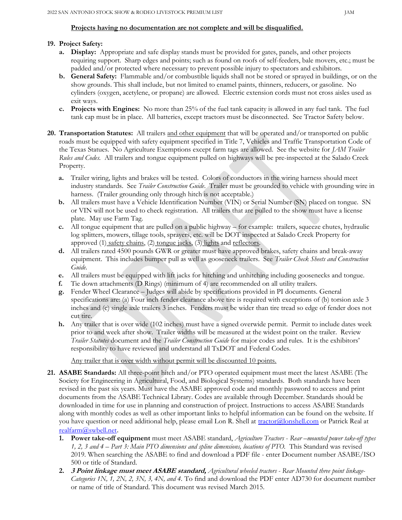#### Projects having no documentation are not complete and will be disqualified.

#### 19. Project Safety:

- a. Display: Appropriate and safe display stands must be provided for gates, panels, and other projects requiring support. Sharp edges and points; such as found on roofs of self-feeders, bale movers, etc.; must be padded and/or protected where necessary to prevent possible injury to spectators and exhibitors.
- b. General Safety: Flammable and/or combustible liquids shall not be stored or sprayed in buildings, or on the show grounds. This shall include, but not limited to enamel paints, thinners, reducers, or gasoline. No cylinders (oxygen, acetylene, or propane) are allowed. Electric extension cords must not cross aisles used as exit ways.
- c. Projects with Engines: No more than 25% of the fuel tank capacity is allowed in any fuel tank. The fuel tank cap must be in place. All batteries, except tractors must be disconnected. See Tractor Safety below.
- 20. Transportation Statutes: All trailers and other equipment that will be operated and/or transported on public roads must be equipped with safety equipment specified in Title 7, Vehicles and Traffic Transportation Code of the Texas Statues. No Agriculture Exemptions except farm tags are allowed. See the website for JAM Trailer Rules and Codes. All trailers and tongue equipment pulled on highways will be pre-inspected at the Salado Creek Property.
	- a. Trailer wiring, lights and brakes will be tested. Colors of conductors in the wiring harness should meet industry standards. See Trailer Construction Guide. Trailer must be grounded to vehicle with grounding wire in harness. (Trailer grounding only through hitch is not acceptable.)
	- b. All trailers must have a Vehicle Identification Number (VIN) or Serial Number (SN) placed on tongue. SN or VIN will not be used to check registration. All trailers that are pulled to the show must have a license plate. May use Farm Tag.
	- c. All tongue equipment that are pulled on a public highway for example: trailers, squeeze chutes, hydraulic log splitters, mowers, tillage tools, sprayers, etc. will be DOT inspected at Salado Creek Property for approved (1) safety chains, (2) tongue jacks, (3) lights and reflectors.
	- d. All trailers rated 4500 pounds GWR or greater must have approved brakes, safety chains and break-away equipment. This includes bumper pull as well as gooseneck trailers. See Trailer Check Sheets and Construction Guide.
	- e. All trailers must be equipped with lift jacks for hitching and unhitching including goosenecks and tongue.
	- f. Tie down attachments (D Rings) (minimum of 4) are recommended on all utility trailers.
	- g. Fender Wheel Clearance Judges will abide by specifications provided in PI documents. General specifications are: (a) Four inch fender clearance above tire is required with exceptions of (b) torsion axle 3 inches and (c) single axle trailers 3 inches. Fenders must be wider than tire tread so edge of fender does not cut tire.
	- h. Any trailer that is over wide (102 inches) must have a signed overwide permit. Permit to include dates week prior to and week after show. Trailer widths will be measured at the widest point on the trailer. Review Trailer Statutes document and the Trailer Construction Guide for major codes and rules. It is the exhibitors' responsibility to have reviewed and understand all TxDOT and Federal Codes.

Any trailer that is over width without permit will be discounted 10 points.

- 21. ASABE Standards: All three-point hitch and/or PTO operated equipment must meet the latest ASABE (The Society for Engineering in Agricultural, Food, and Biological Systems) standards. Both standards have been revised in the past six years. Must have the ASABE approved code and monthly password to access and print documents from the ASABE Technical Library. Codes are available through December. Standards should be downloaded in time for use in planning and construction of project. Instructions to access ASABE Standards along with monthly codes as well as other important links to helpful information can be found on the website. If you have question or need additional help, please email Lon R. Shell at tractor@lonshell.com or Patrick Real at realfarm@swbell.net.
	- 1. Power take-off equipment must meet ASABE standard, Agriculture Tractors Rear –mounted power take-off types 1, 2, 3 and 4 – Part 3: Main PTO dimensions and spline dimensions, locations of PTO. This Standard was revised 2019. When searching the ASABE to find and download a PDF file - enter Document number ASABE/ISO 500 or title of Standard.
	- 2. 3 Point linkage must meet ASABE standard, Agricultural wheeled tractors Rear Mounted three point linkage-Categories 1N, 1, 2N, 2, 3N, 3, 4N, and 4. To find and download the PDF enter AD730 for document number or name of title of Standard. This document was revised March 2015.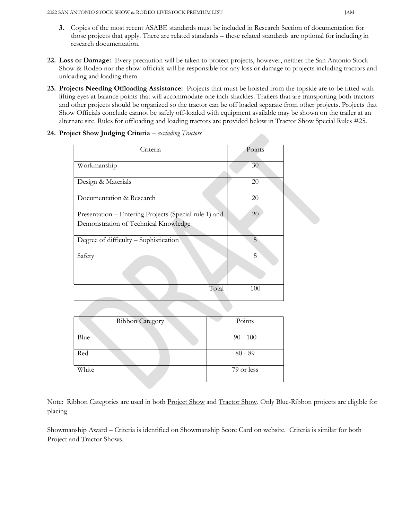- 3. Copies of the most recent ASABE standards must be included in Research Section of documentation for those projects that apply. There are related standards – these related standards are optional for including in research documentation.
- 22. Loss or Damage: Every precaution will be taken to protect projects, however, neither the San Antonio Stock Show & Rodeo nor the show officials will be responsible for any loss or damage to projects including tractors and unloading and loading them.
- 23. Projects Needing Offloading Assistance: Projects that must be hoisted from the topside are to be fitted with lifting eyes at balance points that will accommodate one inch shackles. Trailers that are transporting both tractors and other projects should be organized so the tractor can be off loaded separate from other projects. Projects that Show Officials conclude cannot be safely off-loaded with equipment available may be shown on the trailer at an alternate site. Rules for offloading and loading tractors are provided below in Tractor Show Special Rules #25.

| Criteria                                              | Points |
|-------------------------------------------------------|--------|
| Workmanship                                           | 30     |
| Design & Materials                                    | $20\,$ |
| Documentation & Research                              | 20     |
| Presentation – Entering Projects (Special rule 1) and | 20     |
| Demonstration of Technical Knowledge                  |        |
| Degree of difficulty - Sophistication                 | 5      |
| Safety                                                | 5      |
|                                                       |        |
| Total                                                 | 100    |

|  |  |  |  | 24. Project Show Judging Criteria - excluding Tractors |
|--|--|--|--|--------------------------------------------------------|
|--|--|--|--|--------------------------------------------------------|

| Ribbon Category | Points     |
|-----------------|------------|
| Blue            | $90 - 100$ |
| Red             | $80 - 89$  |
| White           | 79 or less |

Note: Ribbon Categories are used in both Project Show and Tractor Show. Only Blue-Ribbon projects are eligible for placing

Showmanship Award – Criteria is identified on Showmanship Score Card on website. Criteria is similar for both Project and Tractor Shows.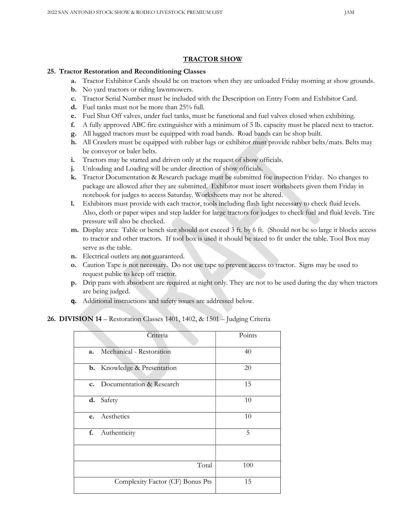#### TRACTOR SHOW

#### 25. Tractor Restoration and Reconditioning Classes

- a. Tractor Exhibitor Cards should be on tractors when they are unloaded Friday morning at show grounds.
- b. No yard tractors or riding lawnmowers.
- c. Tractor Serial Number must be included with the Description on Entry Form and Exhibitor Card.
- d. Fuel tanks must not be more than 25% full.
- e. Fuel Shut Off valves, under fuel tanks, must be functional and fuel valves closed when exhibiting.
- f. A fully approved ABC fire extinguisher with a minimum of 5 lb. capacity must be placed next to tractor.
- g. All lugged tractors must be equipped with road bands. Road bands can be shop built.
- h. All Crawlers must be equipped with rubber lugs or exhibitor must provide rubber belts/mats. Belts may be conveyor or baler belts.
- i. Tractors may be started and driven only at the request of show officials.
- j. Unloading and Loading will be under direction of show officials.
- k. Tractor Documentation & Research package must be submitted foe inspection Friday. No changes to package are allowed after they are submitted. Exhibitor must insert worksheets given them Friday in notebook for judges to access Saturday. Worksheets may not be altered.
- l. Exhibitors must provide with each tractor, tools including flash light necessary to check fluid levels. Also, cloth or paper wipes and step ladder for large tractors for judges to check fuel and fluid levels. Tire pressure will also be checked.
- m. Display area: Table or bench size should not exceed 3 ft. by 6 ft. (Should not be so large it blocks access to tractor and other tractors. If tool box is used it should be sized to fit under the table. Tool Box may serve as the table.
- n. Electrical outlets are not guaranteed.
- o. Caution Tape is not necessary. Do not use tape to prevent access to tractor. Signs may be used to request public to keep off tractor.
- p. Drip pans with absorbent are required at night only. They are not to be used during the day when tractors are being judged.
- q. Additional instructions and safety issues are addressed below.

#### 26. DIVISION 14 – Restoration Classes 1401, 1402, & 1501 – Judging Criteria

|    | Criteria                           | Points |
|----|------------------------------------|--------|
| a. | Mechanical - Restoration           | 40     |
|    | <b>b.</b> Knowledge & Presentation | 20     |
|    | c. Documentation & Research        | 15     |
|    | d. Safety                          | 10     |
|    | e. Aesthetics                      | $10\,$ |
| f. | Authenticity                       | 5      |
|    |                                    |        |
|    | Total                              | 100    |
|    | Complexity Factor (CF) Bonus Pts   | 15     |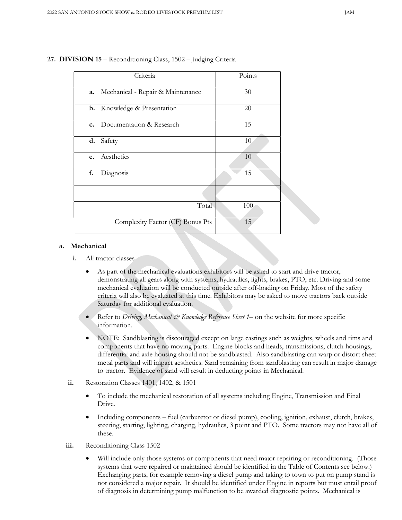|                  | Criteria                           | Points |
|------------------|------------------------------------|--------|
| a.               | Mechanical - Repair & Maintenance  | 30     |
|                  | <b>b.</b> Knowledge & Presentation | 20     |
|                  | c. Documentation & Research        | 15     |
| Safety<br>d.     |                                    | 10     |
| Aesthetics<br>e. |                                    | 10     |
| Diagnosis<br>f.  |                                    | 15     |
|                  |                                    |        |
|                  | Total                              | 100    |
|                  | Complexity Factor (CF) Bonus Pts   | 15     |

#### 27. DIVISION 15 – Reconditioning Class, 1502 – Judging Criteria

#### a. Mechanical

- i. All tractor classes
	- As part of the mechanical evaluations exhibitors will be asked to start and drive tractor, demonstrating all gears along with systems, hydraulics, lights, brakes, PTO, etc. Driving and some mechanical evaluation will be conducted outside after off-loading on Friday. Most of the safety criteria will also be evaluated at this time. Exhibitors may be asked to move tractors back outside Saturday for additional evaluation.
	- Refer to Driving, Mechanical & Knowledge Reference Sheet 1– on the website for more specific information.
	- NOTE: Sandblasting is discouraged except on large castings such as weights, wheels and rims and components that have no moving parts. Engine blocks and heads, transmissions, clutch housings, differential and axle housing should not be sandblasted. Also sandblasting can warp or distort sheet metal parts and will impact aesthetics. Sand remaining from sandblasting can result in major damage to tractor. Evidence of sand will result in deducting points in Mechanical.
- ii. Restoration Classes 1401, 1402, & 1501
	- To include the mechanical restoration of all systems including Engine, Transmission and Final Drive.
	- Including components fuel (carburetor or diesel pump), cooling, ignition, exhaust, clutch, brakes, steering, starting, lighting, charging, hydraulics, 3 point and PTO. Some tractors may not have all of these.
- iii. Reconditioning Class 1502
	- Will include only those systems or components that need major repairing or reconditioning. (Those systems that were repaired or maintained should be identified in the Table of Contents see below.) Exchanging parts, for example removing a diesel pump and taking to town to put on pump stand is not considered a major repair. It should be identified under Engine in reports but must entail proof of diagnosis in determining pump malfunction to be awarded diagnostic points. Mechanical is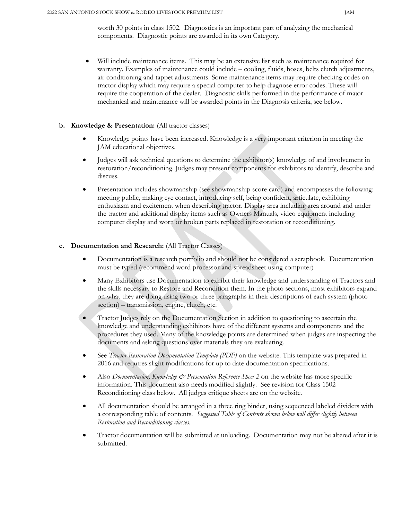worth 30 points in class 1502. Diagnostics is an important part of analyzing the mechanical components. Diagnostic points are awarded in its own Category.

 Will include maintenance items. This may be an extensive list such as maintenance required for warranty. Examples of maintenance could include – cooling, fluids, hoses, belts clutch adjustments, air conditioning and tappet adjustments. Some maintenance items may require checking codes on tractor display which may require a special computer to help diagnose error codes. These will require the cooperation of the dealer. Diagnostic skills performed in the performance of major mechanical and maintenance will be awarded points in the Diagnosis criteria, see below.

#### b. Knowledge & Presentation: (All tractor classes)

- Knowledge points have been increased. Knowledge is a very important criterion in meeting the JAM educational objectives.
- Judges will ask technical questions to determine the exhibitor(s) knowledge of and involvement in restoration/reconditioning. Judges may present components for exhibitors to identify, describe and discuss.
- Presentation includes showmanship (see showmanship score card) and encompasses the following: meeting public, making eye contact, introducing self, being confident, articulate, exhibiting enthusiasm and excitement when describing tractor. Display area including area around and under the tractor and additional display items such as Owners Manuals, video equipment including computer display and worn or broken parts replaced in restoration or reconditioning.

### c. Documentation and Research: (All Tractor Classes)

- Documentation is a research portfolio and should not be considered a scrapbook. Documentation must be typed (recommend word processor and spreadsheet using computer)
- Many Exhibitors use Documentation to exhibit their knowledge and understanding of Tractors and the skills necessary to Restore and Recondition them. In the photo sections, most exhibitors expand on what they are doing using two or three paragraphs in their descriptions of each system (photo section) – transmission, engine, clutch, etc.
- Tractor Judges rely on the Documentation Section in addition to questioning to ascertain the knowledge and understanding exhibitors have of the different systems and components and the procedures they used. Many of the knowledge points are determined when judges are inspecting the documents and asking questions over materials they are evaluating.
- See *Tractor Restoration Documentation Template (PDF)* on the website. This template was prepared in 2016 and requires slight modifications for up to date documentation specifications.
- Also Documentation, Knowledge & Presentation Reference Sheet 2 on the website has more specific information. This document also needs modified slightly. See revision for Class 1502 Reconditioning class below. All judges critique sheets are on the website.
- All documentation should be arranged in a three ring binder, using sequenced labeled dividers with a corresponding table of contents. Suggested Table of Contents shown below will differ slightly between Restoration and Reconditioning classes.
- Tractor documentation will be submitted at unloading. Documentation may not be altered after it is submitted.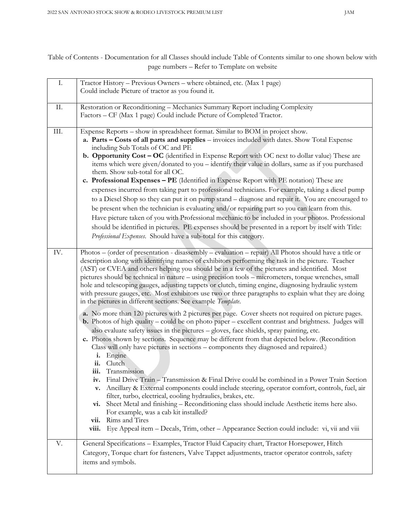Table of Contents - Documentation for all Classes should include Table of Contents similar to one shown below with page numbers – Refer to Template on website

| $\mathbf{I}.$ | Tractor History - Previous Owners - where obtained, etc. (Max 1 page)<br>Could include Picture of tractor as you found it.                                                                                                                                                                                                                                                                                                                                                                                                                                                                                                                                                                                                                                                                                                                                                                                                                                                                                                                                                                                                                                   |
|---------------|--------------------------------------------------------------------------------------------------------------------------------------------------------------------------------------------------------------------------------------------------------------------------------------------------------------------------------------------------------------------------------------------------------------------------------------------------------------------------------------------------------------------------------------------------------------------------------------------------------------------------------------------------------------------------------------------------------------------------------------------------------------------------------------------------------------------------------------------------------------------------------------------------------------------------------------------------------------------------------------------------------------------------------------------------------------------------------------------------------------------------------------------------------------|
|               |                                                                                                                                                                                                                                                                                                                                                                                                                                                                                                                                                                                                                                                                                                                                                                                                                                                                                                                                                                                                                                                                                                                                                              |
| II.           | Restoration or Reconditioning - Mechanics Summary Report including Complexity<br>Factors - CF (Max 1 page) Could include Picture of Completed Tractor.                                                                                                                                                                                                                                                                                                                                                                                                                                                                                                                                                                                                                                                                                                                                                                                                                                                                                                                                                                                                       |
| III.          | Expense Reports - show in spreadsheet format. Similar to BOM in project show.<br>a. Parts - Costs of all parts and supplies - invoices included with dates. Show Total Expense<br>including Sub Totals of OC and PE<br><b>b.</b> Opportunity Cost – OC (identified in Expense Report with OC next to dollar value) These are<br>items which were given/donated to you - identify their value in dollars, same as if you purchased<br>them. Show sub-total for all OC.<br>c. Professional Expenses - PE (Identified in Expense Report with PE notation) These are<br>expenses incurred from taking part to professional technicians. For example, taking a diesel pump<br>to a Diesel Shop so they can put it on pump stand - diagnose and repair it. You are encouraged to<br>be present when the technician is evaluating and/or repairing part so you can learn from this.<br>Have picture taken of you with Professional mechanic to be included in your photos. Professional<br>should be identified in pictures. PE expenses should be presented in a report by itself with Title:<br>Professional Expenses. Should have a sub-total for this category. |
| IV.           | Photos – (order of presentation - disassembly – evaluation – repair) All Photos should have a title or<br>description along with identifying names of exhibitors performing the task in the picture. Teacher<br>(AST) or CVEA and others helping you should be in a few of the pictures and identified. Most<br>pictures should be technical in nature - using precision tools - micrometers, torque wrenches, small<br>hole and telescoping gauges, adjusting tappets or clutch, timing engine, diagnosing hydraulic system<br>with pressure gauges, etc. Most exhibitors use two or three paragraphs to explain what they are doing<br>in the pictures in different sections. See example Template.                                                                                                                                                                                                                                                                                                                                                                                                                                                        |
|               | a. No more than 120 pictures with 2 pictures per page. Cover sheets not required on picture pages.<br><b>b.</b> Photos of high quality – could be on photo paper – excellent contrast and brightness. Judges will<br>also evaluate safety issues in the pictures - gloves, face shields, spray painting, etc.<br>c. Photos shown by sections. Sequence may be different from that depicted below. (Recondition<br>Class will only have pictures in sections - components they diagnosed and repaired.)<br>i. Engine<br>ii. Clutch<br>iii. Transmission<br>Final Drive Train - Transmission & Final Drive could be combined in a Power Train Section<br>iv.<br>Ancillary & External components could include steering, operator comfort, controls, fuel, air<br>$V_{\bullet}$<br>filter, turbo, electrical, cooling hydraulics, brakes, etc.<br>vi. Sheet Metal and finishing – Reconditioning class should include Aesthetic items here also.<br>For example, was a cab kit installed?<br>vii. Rims and Tires                                                                                                                                                |
|               | Eye Appeal item – Decals, Trim, other – Appearance Section could include: vi, vii and viii<br>viii.                                                                                                                                                                                                                                                                                                                                                                                                                                                                                                                                                                                                                                                                                                                                                                                                                                                                                                                                                                                                                                                          |
| V.            | General Specifications - Examples, Tractor Fluid Capacity chart, Tractor Horsepower, Hitch<br>Category, Torque chart for fasteners, Valve Tappet adjustments, tractor operator controls, safety<br>items and symbols.                                                                                                                                                                                                                                                                                                                                                                                                                                                                                                                                                                                                                                                                                                                                                                                                                                                                                                                                        |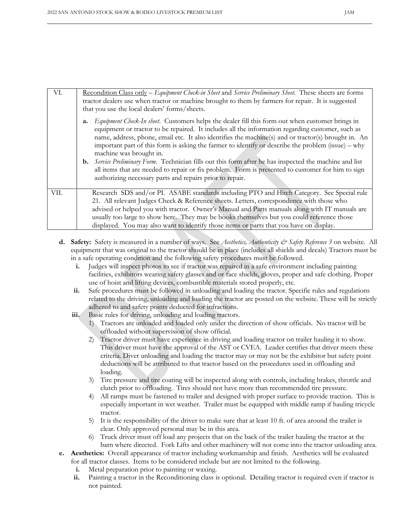| VI.  | Recondition Class only – Equipment Check-in Sheet and Service Preliminary Sheet. These sheets are forms<br>tractor dealers use when tractor or machine brought to them by farmers for repair. It is suggested<br>that you use the local dealers' forms/sheets.                                                                                                                                                                                                                                                                                                                                                                                                                                                                       |
|------|--------------------------------------------------------------------------------------------------------------------------------------------------------------------------------------------------------------------------------------------------------------------------------------------------------------------------------------------------------------------------------------------------------------------------------------------------------------------------------------------------------------------------------------------------------------------------------------------------------------------------------------------------------------------------------------------------------------------------------------|
|      | Equipment Check-In sheet. Customers helps the dealer fill this form out when customer brings in<br>a.<br>equipment or tractor to be repaired. It includes all the information regarding customer, such as<br>name, address, phone, email etc. It also identifies the machine(s) and or tractor(s) brought in. An<br>important part of this form is asking the farmer to identify or describe the problem (issue) – why<br>machine was brought in.<br><b>b.</b> Service Preliminary Form. Technician fills out this form after he has inspected the machine and list<br>all items that are needed to repair or fix problem. Form is presented to customer for him to sign<br>authorizing necessary parts and repairs prior to repair. |
| VII. | Research SDS and/or PI. ASABE standards including PTO and Hitch Category. See Special rule<br>21. All relevant Judges Check & Reference sheets. Letters, correspondence with those who<br>advised or helped you with tractor. Owner's Manual and Parts manuals along with IT manuals are<br>usually too large to show here. They may be books themselves but you could reference those<br>displayed. You may also want to identify those items or parts that you have on display.                                                                                                                                                                                                                                                    |

- d. Safety: Safety is measured in a number of ways. See Aesthetics, Authenticity  $\mathcal{C}^*$  Safety Reference 3 on website. All equipment that was original to the tractor should be in place (includes all shields and decals) Tractors must be in a safe operating condition and the following safety procedures must be followed.
	- i. Judges will inspect photos to see if tractor was repaired in a safe environment including painting facilities, exhibitors wearing safety glasses and or face shields, gloves, proper and safe clothing. Proper use of hoist and lifting devices, combustible materials stored properly, etc.
	- ii. Safe procedures must be followed in unloading and loading the tractor. Specific rules and regulations related to the driving, unloading and loading the tractor are posted on the website. These will be strictly adhered to and safety points deducted for infractions.
	- iii. Basic rules for driving, unloading and loading tractors.
		- 1) Tractors are unloaded and loaded only under the direction of show officials. No tractor will be offloaded without supervision of show official.
		- 2) Tractor driver must have experience in driving and loading tractor on trailer hauling it to show. This driver must have the approval of the AST or CVEA. Leader certifies that driver meets these criteria. Diver unloading and loading the tractor may or may not be the exhibitor but safety point deductions will be attributed to that tractor based on the procedures used in offloading and loading.
		- 3) Tire pressure and tire coating will be inspected along with controls, including brakes, throttle and clutch prior to offloading. Tires should not have more than recommended tire pressure.
		- 4) All ramps must be fastened to trailer and designed with proper surface to provide traction. This is especially important in wet weather. Trailer must be equipped with middle ramp if hauling tricycle tractor.
		- 5) It is the responsibility of the driver to make sure that at least 10 ft. of area around the trailer is clear. Only approved personal may be in this area.
		- 6) Truck driver must off load any projects that on the back of the trailer hauling the tractor at the barn where directed. Fork Lifts and other machinery will not come into the tractor unloading area.
- e. Aesthetics: Overall appearance of tractor including workmanship and finish. Aesthetics will be evaluated for all tractor classes. Items to be considered include but are not limited to the following.
	- i. Metal preparation prior to painting or waxing.
	- ii. Painting a tractor in the Reconditioning class is optional. Detailing tractor is required even if tractor is not painted.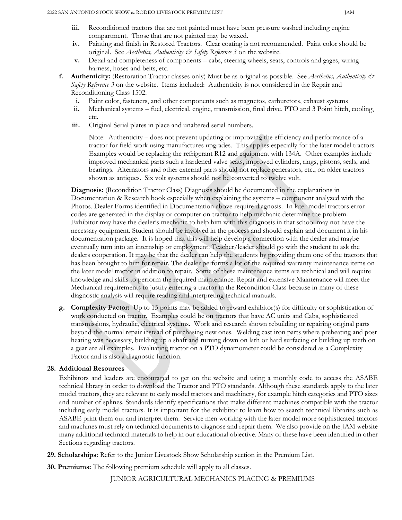- iii. Reconditioned tractors that are not painted must have been pressure washed including engine compartment. Those that are not painted may be waxed.
- iv. Painting and finish in Restored Tractors. Clear coating is not recommended. Paint color should be original. See Aesthetics, Authenticity & Safety Reference 3 on the website.
- v. Detail and completeness of components cabs, steering wheels, seats, controls and gages, wiring harness, hoses and belts, etc.
- f. Authenticity: (Restoration Tractor classes only) Must be as original as possible. See Aesthetics, Authenticity  $\mathcal{O}$ Safety Reference 3 on the website. Items included: Authenticity is not considered in the Repair and Reconditioning Class 1502.
	- i. Paint color, fasteners, and other components such as magnetos, carburetors, exhaust systems
	- ii. Mechanical systems fuel, electrical, engine, transmission, final drive, PTO and 3 Point hitch, cooling, etc.
	- iii. Original Serial plates in place and unaltered serial numbers.

Note: Authenticity – does not prevent updating or improving the efficiency and performance of a tractor for field work using manufactures upgrades. This applies especially for the later model tractors. Examples would be replacing the refrigerant R12 and equipment with 134A. Other examples include improved mechanical parts such a hardened valve seats, improved cylinders, rings, pistons, seals, and bearings. Alternators and other external parts should not replace generators, etc., on older tractors shown as antiques. Six volt systems should not be converted to twelve volt.

Diagnosis: (Recondition Tractor Class) Diagnosis should be documented in the explanations in Documentation & Research book especially when explaining the systems – component analyzed with the Photos. Dealer Forms identified in Documentation above require diagnosis. In later model tractors error codes are generated in the display or computer on tractor to help mechanic determine the problem. Exhibitor may have the dealer's mechanic to help him with this diagnosis in that school may not have the necessary equipment. Student should be involved in the process and should explain and document it in his documentation package. It is hoped that this will help develop a connection with the dealer and maybe eventually turn into an internship or employment. Teacher/leader should go with the student to ask the dealers cooperation. It may be that the dealer can help the students by providing them one of the tractors that has been brought to him for repair. The dealer performs a lot of the required warranty maintenance items on the later model tractor in addition to repair. Some of these maintenance items are technical and will require knowledge and skills to perform the required maintenance. Repair and extensive Maintenance will meet the Mechanical requirements to justify entering a tractor in the Recondition Class because in many of these diagnostic analysis will require reading and interpreting technical manuals.

g. Complexity Factor: Up to 15 points may be added to reward exhibitor(s) for difficulty or sophistication of work conducted on tractor. Examples could be on tractors that have AC units and Cabs, sophisticated transmissions, hydraulic, electrical systems. Work and research shown rebuilding or repairing original parts beyond the normal repair instead of purchasing new ones. Welding cast iron parts where preheating and post heating was necessary, building up a shaft and turning down on lath or hard surfacing or building up teeth on a gear are all examples. Evaluating tractor on a PTO dynamometer could be considered as a Complexity Factor and is also a diagnostic function.

## 28. Additional Resources

Exhibitors and leaders are encouraged to get on the website and using a monthly code to access the ASABE technical library in order to download the Tractor and PTO standards. Although these standards apply to the later model tractors, they are relevant to early model tractors and machinery, for example hitch categories and PTO sizes and number of splines. Standards identify specifications that make different machines compatible with the tractor including early model tractors. It is important for the exhibitor to learn how to search technical libraries such as ASABE print them out and interpret them. Service men working with the later model more sophisticated tractors and machines must rely on technical documents to diagnose and repair them. We also provide on the JAM website many additional technical materials to help in our educational objective. Many of these have been identified in other Sections regarding tractors.

- 29. Scholarships: Refer to the Junior Livestock Show Scholarship section in the Premium List.
- 30. Premiums: The following premium schedule will apply to all classes.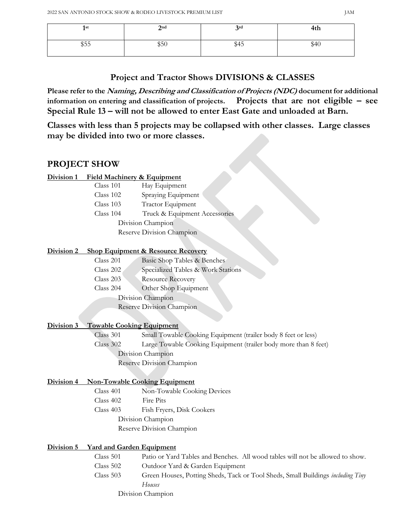| 1st<br>- | $2^{\rm nd}$ | 3 <sup>rd</sup> | .<br>4th |
|----------|--------------|-----------------|----------|
| \$55     | ሐ⊏∩<br>350   | \$45            | \$40     |

# Project and Tractor Shows DIVISIONS & CLASSES

Please refer to the Naming, Describing and Classification of Projects (NDC) document for additional information on entering and classification of projects. Projects that are not eligible – see Special Rule 13 – will not be allowed to enter East Gate and unloaded at Barn.

Classes with less than 5 projects may be collapsed with other classes. Large classes may be divided into two or more classes.

# PROJECT SHOW

## Division 1 Field Machinery & Equipment

| Truck & Equipment Accessories |
|-------------------------------|
|                               |
|                               |
|                               |

# Division 2 Shop Equipment & Resource Recovery

| Class 201 | Basic Shop Tables & Benches        |
|-----------|------------------------------------|
| Class 202 | Specialized Tables & Work Stations |
| Class 203 | <b>Resource Recovery</b>           |
| Class 204 | Other Shop Equipment               |
|           | Division Champion                  |
|           | Reserve Division Champion          |

## Division 3 Towable Cooking Equipment

Class 301 Small Towable Cooking Equipment (trailer body 8 feet or less)

Class 302 Large Towable Cooking Equipment (trailer body more than 8 feet)

Division Champion

Reserve Division Champion

# Division 4 Non-Towable Cooking Equipment

Class 401 Non-Towable Cooking Devices Class 402 Fire Pits Class 403 Fish Fryers, Disk Cookers Division Champion Reserve Division Champion

# Division 5 Yard and Garden Equipment

| Class 501   | Patio or Yard Tables and Benches. All wood tables will not be allowed to show.         |
|-------------|----------------------------------------------------------------------------------------|
| Class 502   | Outdoor Yard & Garden Equipment                                                        |
| Class $503$ | Green Houses, Potting Sheds, Tack or Tool Sheds, Small Buildings <i>including Tiny</i> |
|             | Houses                                                                                 |
|             | Division Champion                                                                      |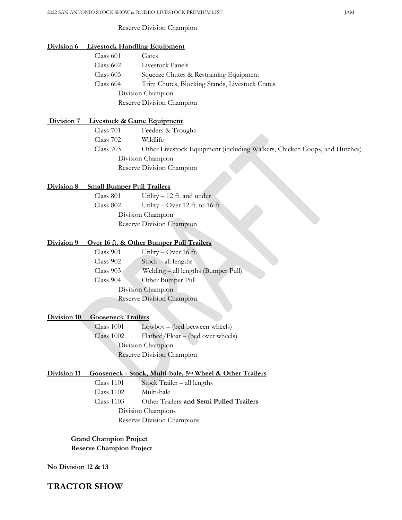# 2022 SAN ANTONIO STOCK SHOW & RODEO LIVESTOCK PREMIUM LIST JAM Reserve Division Champion Division 6 Livestock Handling Equipment Class 601 Gates Class 602 Livestock Panels Class 603 Squeeze Chutes & Restraining Equipment Class 604 Trim Chutes, Blocking Stands, Livestock Crates Division Champion Reserve Division Champion Division 7 Livestock & Game Equipment Class 701 Feeders & Troughs Class 702 Wildlife Class 703 Other Livestock Equipment (including Walkers, Chicken Coops, and Hutches) Division Champion Reserve Division Champion Division 8 Small Bumper Pull Trailers Class 801 Utility – 12 ft. and under Class 802 Utility – Over 12 ft. to 16 ft. Division Champion Reserve Division Champion Division 9 Over 16 ft. & Other Bumper Pull Trailers Class 901 Utility – Over 16 ft. Class 902 Stock – all lengths Class 903 Welding – all lengths (Bumper Pull) Class 904 Other Bumper Pull Division Champion Reserve Division Champion Division 10 Gooseneck Trailers Class 1001 Lowboy – (bed between wheels) Class 1002 Flatbed/Float – (bed over wheels) Division Champion Reserve Division Champion Division 11 Gooseneck - Stock, Multi-bale, 5<sup>th</sup> Wheel & Other Trailers Class 1101 Stock Trailer – all lengths Class 1102 Multi-bale Class 1103 Other Trailers and Semi Pulled Trailers Division Champions Reserve Division Champions

Grand Champion Project Reserve Champion Project

#### No Division 12 & 13

TRACTOR SHOW